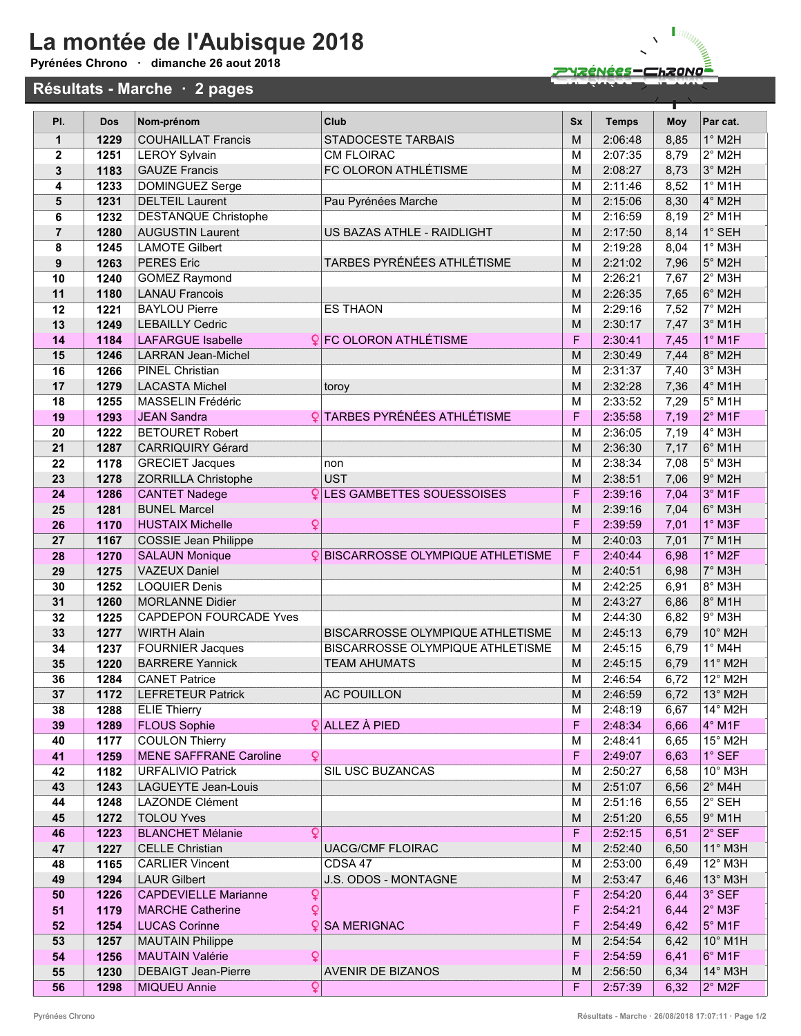## La montée de l'Aubisque 2018

Pyrénées Chrono · dimanche 26 aout 2018

## Résultats - Marche · 2 pages



| PI.          | <b>Dos</b>   | Nom-prénom                                                                      | Club                                     | <b>Sx</b> | <b>Temps</b>       | <b>Moy</b>   | Par cat.                   |
|--------------|--------------|---------------------------------------------------------------------------------|------------------------------------------|-----------|--------------------|--------------|----------------------------|
| $\mathbf{1}$ | 1229         | <b>COUHAILLAT Francis</b>                                                       | <b>STADOCESTE TARBAIS</b>                | M         | 2:06:48            | 8,85         | $1^\circ$ M2H              |
| $\mathbf{2}$ | 1251         | <b>LEROY Sylvain</b>                                                            | <b>CM FLOIRAC</b>                        | M         | 2:07:35            | 8,79         | $2°$ M <sub>2</sub> H      |
| 3            | 1183         | <b>GAUZE Francis</b>                                                            | FC OLORON ATHLÉTISME                     | M         | 2:08:27            | 8,73         | 3° M2H                     |
| 4            | 1233         | DOMINGUEZ Serge                                                                 |                                          | M         | 2:11:46            | 8,52         | $1°$ M1H                   |
| 5            | 1231         | <b>DELTEIL Laurent</b>                                                          | Pau Pyrénées Marche                      | M         | 2:15:06            | 8,30         | 4° M2H                     |
| 6            | 1232         | <b>DESTANQUE Christophe</b>                                                     |                                          | M         | 2:16:59            | 8,19         | $2°$ M1H                   |
| 7            | 1280         | <b>AUGUSTIN Laurent</b>                                                         | US BAZAS ATHLE - RAIDLIGHT               | M         | 2:17:50            | 8,14         | 1° SEH                     |
| 8            | 1245         | <b>LAMOTE Gilbert</b>                                                           |                                          | M         | 2:19:28            | 8,04         | $1°$ M3H                   |
| 9            | 1263         | <b>PERES Eric</b>                                                               | TARBES PYRÉNÉES ATHLÉTISME               | M         | 2:21:02            | 7,96         | 5° M2H                     |
| 10           | 1240         | <b>GOMEZ Raymond</b>                                                            |                                          | M         | 2:26:21            | 7,67         | $2°$ M3H                   |
| 11           | 1180         | <b>LANAU Francois</b>                                                           |                                          | M         | 2:26:35            | 7,65         | 6° M2H                     |
| 12           | 1221         | <b>BAYLOU Pierre</b>                                                            | <b>ES THAON</b>                          | M         | 2:29:16            | 7,52         | $7°$ M <sub>2</sub> H      |
| 13           | 1249         | <b>LEBAILLY Cedric</b>                                                          |                                          | M         | 2:30:17            | 7,47         | 3° M1H                     |
| 14           | 1184         | <b>LAFARGUE Isabelle</b>                                                        | <b>Q</b> FC OLORON ATHLÉTISME            | F         | 2:30:41            | 7,45         | $1^\circ$ M1F              |
| 15           | 1246         | <b>LARRAN Jean-Michel</b>                                                       |                                          | M         | 2:30:49            | 7,44         | 8° M2H                     |
| 16           | 1266         | <b>PINEL Christian</b>                                                          |                                          | M         | 2:31:37            | 7,40         | 3° M3H                     |
| 17           | 1279         | <b>LACASTA Michel</b>                                                           | toroy                                    | M         | 2:32:28            | 7,36         | 4° M1H                     |
| 18           | 1255         | MASSELIN Frédéric                                                               |                                          | M         | 2:33:52            | 7,29         | $5^\circ$ M1H              |
| 19           | 1293         | <b>JEAN Sandra</b>                                                              | <b>QTARBES PYRÉNÉES ATHLÉTISME</b>       | F         | 2:35:58            | 7,19         | $2°$ M1F                   |
| 20           | 1222         | <b>BETOURET Robert</b>                                                          |                                          | M         | 2:36:05            | 7,19         | 4° M3H                     |
| 21           | 1287         | <b>CARRIQUIRY Gérard</b>                                                        |                                          | M         | 2:36:30            | 7,17         | 6° M1H                     |
| 22           | 1178         | <b>GRECIET Jacques</b>                                                          | non                                      | M         | 2:38:34            | 7,08         | 5° M3H                     |
| 23           | 1278         | <b>ZORRILLA Christophe</b>                                                      | <b>UST</b>                               | M         | 2:38:51            | 7,06         | $9°$ M2H                   |
| 24           | 1286         | <b>CANTET Nadege</b>                                                            | <b>LES GAMBETTES SOUESSOISES</b>         | F         | 2:39:16            | 7,04         | 3° M1F                     |
| 25           | 1281         | <b>BUNEL Marcel</b>                                                             |                                          | M         | 2:39:16            | 7,04         | 6° M3H                     |
| 26           | 1170         | ¥<br><b>HUSTAIX Michelle</b>                                                    |                                          | F         | 2:39:59            | 7,01         | 1° M3F                     |
| 27           | 1167         | <b>COSSIE Jean Philippe</b>                                                     |                                          | M         | 2:40:03            | 7,01         | 7° M1H                     |
| 28           | 1270         | <b>SALAUN Monique</b>                                                           | <b>QBISCARROSSE OLYMPIQUE ATHLETISME</b> | F         | 2:40:44            | 6,98         | $1^\circ$ M <sub>2</sub> F |
| 29<br>30     | 1275<br>1252 | <b>VAZEUX Daniel</b><br><b>LOQUIER Denis</b>                                    |                                          | M<br>М    | 2:40:51<br>2:42:25 | 6,98<br>6,91 | 7° M3H<br>$8°$ M3H         |
| 31           | 1260         | <b>MORLANNE Didier</b>                                                          |                                          | M         | 2:43:27            | 6,86         | 8° M1H                     |
| 32           | 1225         | <b>CAPDEPON FOURCADE Yves</b>                                                   |                                          | M         | 2:44:30            | 6,82         | $9°$ M3H                   |
| 33           | 1277         | <b>WIRTH Alain</b>                                                              | BISCARROSSE OLYMPIQUE ATHLETISME         | M         | 2:45:13            | 6,79         | 10° M2H                    |
| 34           | 1237         | <b>FOURNIER Jacques</b>                                                         | <b>BISCARROSSE OLYMPIQUE ATHLETISME</b>  | M         | 2:45:15            | 6,79         | $1^\circ$ M4H              |
| 35           | 1220         | <b>BARRERE Yannick</b>                                                          | <b>TEAM AHUMATS</b>                      | M         | 2:45:15            | 6,79         | 11° M2H                    |
| 36           | 1284         | <b>CANET Patrice</b>                                                            |                                          | M         | 2:46:54            | 6,72         | 12° M2H                    |
| 37           | 1172         | <b>LEFRETEUR Patrick</b>                                                        | <b>AC POUILLON</b>                       | M         | 2:46:59            | 6,72         | 13° M2H                    |
| 38           | 1288         | <b>ELIE Thierry</b>                                                             |                                          | М         | 2:48:19            | 6,67         | 14° M2H                    |
| 39           | 1289         | <b>FLOUS Sophie</b>                                                             | $\frac{6}{2}$ ALLEZ À PIED               | F         | 2:48:34            | 6,66         | 4° M1F                     |
| 40           | 1177         | <b>COULON Thierry</b>                                                           |                                          | М         | 2:48:41            | 6,65         | $15^\circ$ M2H             |
| 41           | 1259         | $\mathsf{Q}$<br><b>MENE SAFFRANE Caroline</b>                                   |                                          | F         | 2:49:07            | 6,63         | $1^\circ$ SEF              |
| 42           | 1182         | <b>URFALIVIO Patrick</b>                                                        | <b>SIL USC BUZANCAS</b>                  | м         | 2:50:27            | 6,58         | $10^{\circ}$ M3H           |
| 43           | 1243         | <b>LAGUEYTE Jean-Louis</b>                                                      |                                          | M         | 2:51:07            | 6,56         | $2^{\circ}$ M4H            |
| 44           | 1248         | <b>LAZONDE Clément</b>                                                          |                                          | м         | 2:51:16            | 6,55         | $2^\circ$ SEH              |
| 45           | 1272         | <b>TOLOU Yves</b>                                                               |                                          | M         | 2:51:20            | 6,55         | $9°$ M1H                   |
| 46           | 1223         | <b>BLANCHET Mélanie</b><br>Q                                                    |                                          | F         | 2:52:15            | 6,51         | $2°$ SEF                   |
| 47           | 1227         | <b>CELLE Christian</b>                                                          | <b>UACG/CMF FLOIRAC</b>                  | M         | 2:52:40            | 6,50         | 11° M3H                    |
| 48           | 1165         | <b>CARLIER Vincent</b>                                                          | CDSA 47                                  | м         | 2:53:00            | 6,49         | 12° M3H                    |
| 49           | 1294         | <b>LAUR Gilbert</b>                                                             | J.S. ODOS - MONTAGNE                     | M         | 2:53:47            | 6,46         | 13° M3H                    |
| 50           | 1226         | Q<br><b>CAPDEVIELLE Marianne</b>                                                |                                          | F         | 2:54:20            | 6,44         | $3^\circ$ SEF              |
| 51           | 1179         | $\overline{\mathsf{Q}}$<br><b>MARCHE Catherine</b>                              |                                          | F         | 2:54:21            | 6,44         | $2^\circ$ M3F              |
| 52           | 1254         | <b>LUCAS Corinne</b>                                                            | <b>Q SA MERIGNAC</b>                     | F         | 2:54:49            | 6,42         | $5^\circ$ M1F              |
| 53           | 1257         | <b>MAUTAIN Philippe</b>                                                         |                                          | M         | 2:54:54            | 6,42         | 10° M1H                    |
| 54           | 1256         | $\overline{\mathbf{Q}}$<br><b>MAUTAIN Valérie</b><br><b>DEBAIGT Jean-Pierre</b> | <b>AVENIR DE BIZANOS</b>                 | F<br>м    | 2:54:59            | 6,41         | 6° M1F<br>$14^\circ$ M3H   |
| 55<br>56     | 1230<br>1298 | Q<br><b>MIQUEU Annie</b>                                                        |                                          | F         | 2:56:50<br>2:57:39 | 6,34<br>6,32 | $2^\circ$ M2F              |
|              |              |                                                                                 |                                          |           |                    |              |                            |